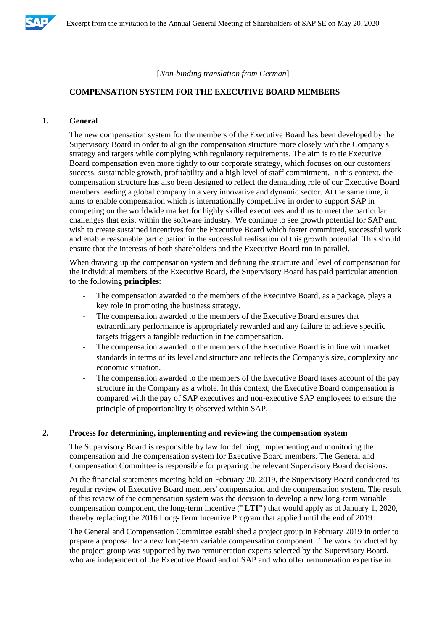

[*Non-binding translation from German*]

# **COMPENSATION SYSTEM FOR THE EXECUTIVE BOARD MEMBERS**

# **1. General**

The new compensation system for the members of the Executive Board has been developed by the Supervisory Board in order to align the compensation structure more closely with the Company's strategy and targets while complying with regulatory requirements. The aim is to tie Executive Board compensation even more tightly to our corporate strategy, which focuses on our customers' success, sustainable growth, profitability and a high level of staff commitment. In this context, the compensation structure has also been designed to reflect the demanding role of our Executive Board members leading a global company in a very innovative and dynamic sector. At the same time, it aims to enable compensation which is internationally competitive in order to support SAP in competing on the worldwide market for highly skilled executives and thus to meet the particular challenges that exist within the software industry. We continue to see growth potential for SAP and wish to create sustained incentives for the Executive Board which foster committed, successful work and enable reasonable participation in the successful realisation of this growth potential. This should ensure that the interests of both shareholders and the Executive Board run in parallel.

When drawing up the compensation system and defining the structure and level of compensation for the individual members of the Executive Board, the Supervisory Board has paid particular attention to the following **principles**:

- The compensation awarded to the members of the Executive Board, as a package, plays a key role in promoting the business strategy.
- The compensation awarded to the members of the Executive Board ensures that extraordinary performance is appropriately rewarded and any failure to achieve specific targets triggers a tangible reduction in the compensation.
- The compensation awarded to the members of the Executive Board is in line with market standards in terms of its level and structure and reflects the Company's size, complexity and economic situation.
- The compensation awarded to the members of the Executive Board takes account of the pay structure in the Company as a whole. In this context, the Executive Board compensation is compared with the pay of SAP executives and non-executive SAP employees to ensure the principle of proportionality is observed within SAP.

#### **2. Process for determining, implementing and reviewing the compensation system**

The Supervisory Board is responsible by law for defining, implementing and monitoring the compensation and the compensation system for Executive Board members. The General and Compensation Committee is responsible for preparing the relevant Supervisory Board decisions.

At the financial statements meeting held on February 20, 2019, the Supervisory Board conducted its regular review of Executive Board members' compensation and the compensation system. The result of this review of the compensation system was the decision to develop a new long-term variable compensation component, the long-term incentive (**"LTI"**) that would apply as of January 1, 2020, thereby replacing the 2016 Long-Term Incentive Program that applied until the end of 2019.

The General and Compensation Committee established a project group in February 2019 in order to prepare a proposal for a new long-term variable compensation component. The work conducted by the project group was supported by two remuneration experts selected by the Supervisory Board, who are independent of the Executive Board and of SAP and who offer remuneration expertise in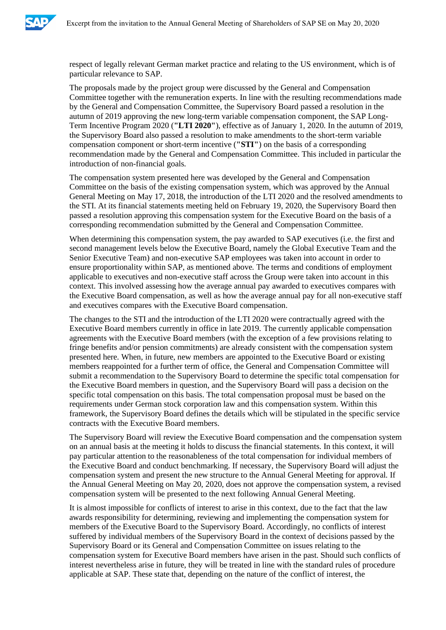

respect of legally relevant German market practice and relating to the US environment, which is of particular relevance to SAP.

The proposals made by the project group were discussed by the General and Compensation Committee together with the remuneration experts. In line with the resulting recommendations made by the General and Compensation Committee, the Supervisory Board passed a resolution in the autumn of 2019 approving the new long-term variable compensation component, the SAP Long-Term Incentive Program 2020 (**"LTI 2020"**), effective as of January 1, 2020. In the autumn of 2019, the Supervisory Board also passed a resolution to make amendments to the short-term variable compensation component or short-term incentive (**"STI"**) on the basis of a corresponding recommendation made by the General and Compensation Committee. This included in particular the introduction of non-financial goals.

The compensation system presented here was developed by the General and Compensation Committee on the basis of the existing compensation system, which was approved by the Annual General Meeting on May 17, 2018, the introduction of the LTI 2020 and the resolved amendments to the STI. At its financial statements meeting held on February 19, 2020, the Supervisory Board then passed a resolution approving this compensation system for the Executive Board on the basis of a corresponding recommendation submitted by the General and Compensation Committee.

When determining this compensation system, the pay awarded to SAP executives (i.e. the first and second management levels below the Executive Board, namely the Global Executive Team and the Senior Executive Team) and non-executive SAP employees was taken into account in order to ensure proportionality within SAP, as mentioned above. The terms and conditions of employment applicable to executives and non-executive staff across the Group were taken into account in this context. This involved assessing how the average annual pay awarded to executives compares with the Executive Board compensation, as well as how the average annual pay for all non-executive staff and executives compares with the Executive Board compensation.

The changes to the STI and the introduction of the LTI 2020 were contractually agreed with the Executive Board members currently in office in late 2019. The currently applicable compensation agreements with the Executive Board members (with the exception of a few provisions relating to fringe benefits and/or pension commitments) are already consistent with the compensation system presented here. When, in future, new members are appointed to the Executive Board or existing members reappointed for a further term of office, the General and Compensation Committee will submit a recommendation to the Supervisory Board to determine the specific total compensation for the Executive Board members in question, and the Supervisory Board will pass a decision on the specific total compensation on this basis. The total compensation proposal must be based on the requirements under German stock corporation law and this compensation system. Within this framework, the Supervisory Board defines the details which will be stipulated in the specific service contracts with the Executive Board members.

The Supervisory Board will review the Executive Board compensation and the compensation system on an annual basis at the meeting it holds to discuss the financial statements. In this context, it will pay particular attention to the reasonableness of the total compensation for individual members of the Executive Board and conduct benchmarking. If necessary, the Supervisory Board will adjust the compensation system and present the new structure to the Annual General Meeting for approval. If the Annual General Meeting on May 20, 2020, does not approve the compensation system, a revised compensation system will be presented to the next following Annual General Meeting.

It is almost impossible for conflicts of interest to arise in this context, due to the fact that the law awards responsibility for determining, reviewing and implementing the compensation system for members of the Executive Board to the Supervisory Board. Accordingly, no conflicts of interest suffered by individual members of the Supervisory Board in the context of decisions passed by the Supervisory Board or its General and Compensation Committee on issues relating to the compensation system for Executive Board members have arisen in the past. Should such conflicts of interest nevertheless arise in future, they will be treated in line with the standard rules of procedure applicable at SAP. These state that, depending on the nature of the conflict of interest, the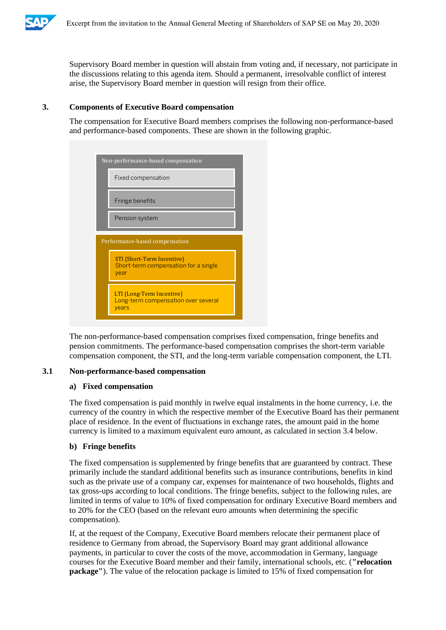

Supervisory Board member in question will abstain from voting and, if necessary, not participate in the discussions relating to this agenda item. Should a permanent, irresolvable conflict of interest arise, the Supervisory Board member in question will resign from their office.

# **3. Components of Executive Board compensation**

The compensation for Executive Board members comprises the following non-performance-based and performance-based components. These are shown in the following graphic.



The non-performance-based compensation comprises fixed compensation, fringe benefits and pension commitments. The performance-based compensation comprises the short-term variable compensation component, the STI, and the long-term variable compensation component, the LTI.

# **3.1 Non-performance-based compensation**

#### **a) Fixed compensation**

The fixed compensation is paid monthly in twelve equal instalments in the home currency, i.e. the currency of the country in which the respective member of the Executive Board has their permanent place of residence. In the event of fluctuations in exchange rates, the amount paid in the home currency is limited to a maximum equivalent euro amount, as calculated in section 3.4 below.

# **b) Fringe benefits**

The fixed compensation is supplemented by fringe benefits that are guaranteed by contract. These primarily include the standard additional benefits such as insurance contributions, benefits in kind such as the private use of a company car, expenses for maintenance of two households, flights and tax gross-ups according to local conditions. The fringe benefits, subject to the following rules, are limited in terms of value to 10% of fixed compensation for ordinary Executive Board members and to 20% for the CEO (based on the relevant euro amounts when determining the specific compensation).

If, at the request of the Company, Executive Board members relocate their permanent place of residence to Germany from abroad, the Supervisory Board may grant additional allowance payments, in particular to cover the costs of the move, accommodation in Germany, language courses for the Executive Board member and their family, international schools, etc. (**"relocation package"**). The value of the relocation package is limited to 15% of fixed compensation for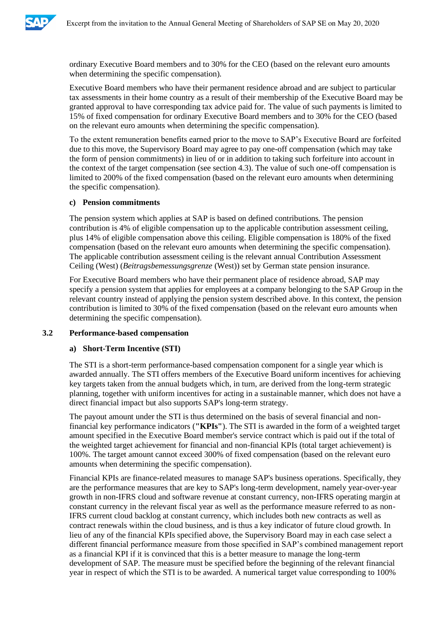

ordinary Executive Board members and to 30% for the CEO (based on the relevant euro amounts when determining the specific compensation).

Executive Board members who have their permanent residence abroad and are subject to particular tax assessments in their home country as a result of their membership of the Executive Board may be granted approval to have corresponding tax advice paid for. The value of such payments is limited to 15% of fixed compensation for ordinary Executive Board members and to 30% for the CEO (based on the relevant euro amounts when determining the specific compensation).

To the extent remuneration benefits earned prior to the move to SAP's Executive Board are forfeited due to this move, the Supervisory Board may agree to pay one-off compensation (which may take the form of pension commitments) in lieu of or in addition to taking such forfeiture into account in the context of the target compensation (see section 4.3). The value of such one-off compensation is limited to 200% of the fixed compensation (based on the relevant euro amounts when determining the specific compensation).

# **c) Pension commitments**

The pension system which applies at SAP is based on defined contributions. The pension contribution is 4% of eligible compensation up to the applicable contribution assessment ceiling, plus 14% of eligible compensation above this ceiling. Eligible compensation is 180% of the fixed compensation (based on the relevant euro amounts when determining the specific compensation). The applicable contribution assessment ceiling is the relevant annual Contribution Assessment Ceiling (West) (*Beitragsbemessungsgrenze* (West)) set by German state pension insurance.

For Executive Board members who have their permanent place of residence abroad, SAP may specify a pension system that applies for employees at a company belonging to the SAP Group in the relevant country instead of applying the pension system described above. In this context, the pension contribution is limited to 30% of the fixed compensation (based on the relevant euro amounts when determining the specific compensation).

# **3.2 Performance-based compensation**

#### **a) Short-Term Incentive (STI)**

The STI is a short-term performance-based compensation component for a single year which is awarded annually. The STI offers members of the Executive Board uniform incentives for achieving key targets taken from the annual budgets which, in turn, are derived from the long-term strategic planning, together with uniform incentives for acting in a sustainable manner, which does not have a direct financial impact but also supports SAP's long-term strategy.

The payout amount under the STI is thus determined on the basis of several financial and nonfinancial key performance indicators (**"KPIs"**). The STI is awarded in the form of a weighted target amount specified in the Executive Board member's service contract which is paid out if the total of the weighted target achievement for financial and non-financial KPIs (total target achievement) is 100%. The target amount cannot exceed 300% of fixed compensation (based on the relevant euro amounts when determining the specific compensation).

Financial KPIs are finance-related measures to manage SAP's business operations. Specifically, they are the performance measures that are key to SAP's long-term development, namely year-over-year growth in non-IFRS cloud and software revenue at constant currency, non-IFRS operating margin at constant currency in the relevant fiscal year as well as the performance measure referred to as non-IFRS current cloud backlog at constant currency, which includes both new contracts as well as contract renewals within the cloud business, and is thus a key indicator of future cloud growth. In lieu of any of the financial KPIs specified above, the Supervisory Board may in each case select a different financial performance measure from those specified in SAP's combined management report as a financial KPI if it is convinced that this is a better measure to manage the long-term development of SAP. The measure must be specified before the beginning of the relevant financial year in respect of which the STI is to be awarded. A numerical target value corresponding to 100%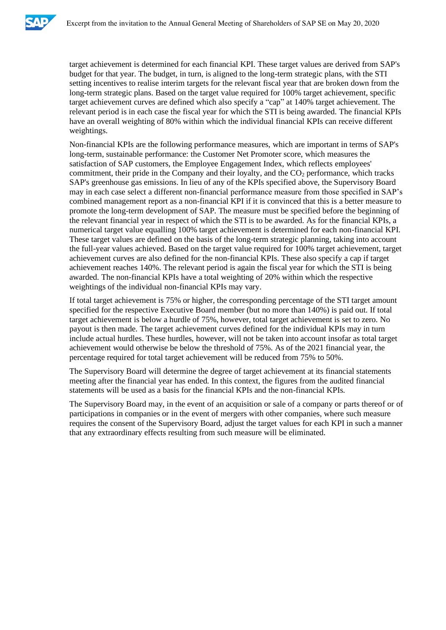

target achievement is determined for each financial KPI. These target values are derived from SAP's budget for that year. The budget, in turn, is aligned to the long-term strategic plans, with the STI setting incentives to realise interim targets for the relevant fiscal year that are broken down from the long-term strategic plans. Based on the target value required for 100% target achievement, specific target achievement curves are defined which also specify a "cap" at 140% target achievement. The relevant period is in each case the fiscal year for which the STI is being awarded. The financial KPIs have an overall weighting of 80% within which the individual financial KPIs can receive different weightings.

Non-financial KPIs are the following performance measures, which are important in terms of SAP's long-term, sustainable performance: the Customer Net Promoter score, which measures the satisfaction of SAP customers, the Employee Engagement Index, which reflects employees' commitment, their pride in the Company and their loyalty, and the  $CO<sub>2</sub>$  performance, which tracks SAP's greenhouse gas emissions. In lieu of any of the KPIs specified above, the Supervisory Board may in each case select a different non-financial performance measure from those specified in SAP's combined management report as a non-financial KPI if it is convinced that this is a better measure to promote the long-term development of SAP. The measure must be specified before the beginning of the relevant financial year in respect of which the STI is to be awarded. As for the financial KPIs, a numerical target value equalling 100% target achievement is determined for each non-financial KPI. These target values are defined on the basis of the long-term strategic planning, taking into account the full-year values achieved. Based on the target value required for 100% target achievement, target achievement curves are also defined for the non-financial KPIs. These also specify a cap if target achievement reaches 140%. The relevant period is again the fiscal year for which the STI is being awarded. The non-financial KPIs have a total weighting of 20% within which the respective weightings of the individual non-financial KPIs may vary.

If total target achievement is 75% or higher, the corresponding percentage of the STI target amount specified for the respective Executive Board member (but no more than 140%) is paid out. If total target achievement is below a hurdle of 75%, however, total target achievement is set to zero. No payout is then made. The target achievement curves defined for the individual KPIs may in turn include actual hurdles. These hurdles, however, will not be taken into account insofar as total target achievement would otherwise be below the threshold of 75%. As of the 2021 financial year, the percentage required for total target achievement will be reduced from 75% to 50%.

The Supervisory Board will determine the degree of target achievement at its financial statements meeting after the financial year has ended. In this context, the figures from the audited financial statements will be used as a basis for the financial KPIs and the non-financial KPIs.

The Supervisory Board may, in the event of an acquisition or sale of a company or parts thereof or of participations in companies or in the event of mergers with other companies, where such measure requires the consent of the Supervisory Board, adjust the target values for each KPI in such a manner that any extraordinary effects resulting from such measure will be eliminated.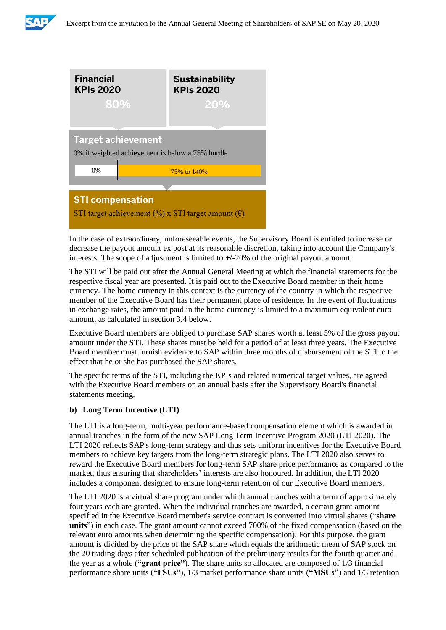



In the case of extraordinary, unforeseeable events, the Supervisory Board is entitled to increase or decrease the payout amount ex post at its reasonable discretion, taking into account the Company's interests. The scope of adjustment is limited to  $+/-20\%$  of the original payout amount.

The STI will be paid out after the Annual General Meeting at which the financial statements for the respective fiscal year are presented. It is paid out to the Executive Board member in their home currency. The home currency in this context is the currency of the country in which the respective member of the Executive Board has their permanent place of residence. In the event of fluctuations in exchange rates, the amount paid in the home currency is limited to a maximum equivalent euro amount, as calculated in section 3.4 below.

Executive Board members are obliged to purchase SAP shares worth at least 5% of the gross payout amount under the STI. These shares must be held for a period of at least three years. The Executive Board member must furnish evidence to SAP within three months of disbursement of the STI to the effect that he or she has purchased the SAP shares.

The specific terms of the STI, including the KPIs and related numerical target values, are agreed with the Executive Board members on an annual basis after the Supervisory Board's financial statements meeting.

# **b) Long Term Incentive (LTI)**

The LTI is a long-term, multi-year performance-based compensation element which is awarded in annual tranches in the form of the new SAP Long Term Incentive Program 2020 (LTI 2020). The LTI 2020 reflects SAP's long-term strategy and thus sets uniform incentives for the Executive Board members to achieve key targets from the long-term strategic plans. The LTI 2020 also serves to reward the Executive Board members for long-term SAP share price performance as compared to the market, thus ensuring that shareholders' interests are also honoured. In addition, the LTI 2020 includes a component designed to ensure long-term retention of our Executive Board members.

The LTI 2020 is a virtual share program under which annual tranches with a term of approximately four years each are granted. When the individual tranches are awarded, a certain grant amount specified in the Executive Board member's service contract is converted into virtual shares ("**share units**") in each case. The grant amount cannot exceed 700% of the fixed compensation (based on the relevant euro amounts when determining the specific compensation). For this purpose, the grant amount is divided by the price of the SAP share which equals the arithmetic mean of SAP stock on the 20 trading days after scheduled publication of the preliminary results for the fourth quarter and the year as a whole (**"grant price"**). The share units so allocated are composed of 1/3 financial performance share units (**"FSUs"**), 1/3 market performance share units (**"MSUs"**) and 1/3 retention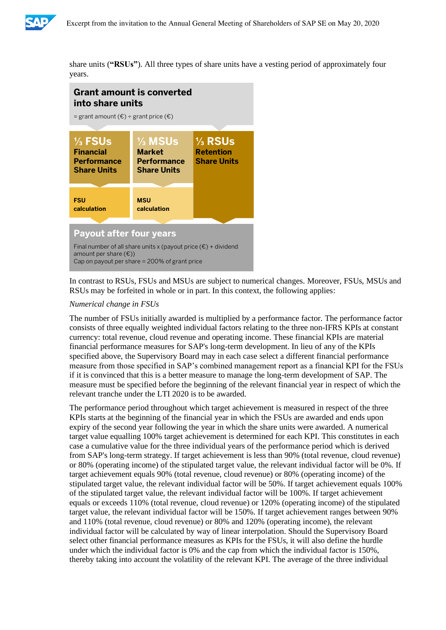

share units (**"RSUs"**). All three types of share units have a vesting period of approximately four years.



In contrast to RSUs, FSUs and MSUs are subject to numerical changes. Moreover, FSUs, MSUs and RSUs may be forfeited in whole or in part. In this context, the following applies:

# *Numerical change in FSUs*

The number of FSUs initially awarded is multiplied by a performance factor. The performance factor consists of three equally weighted individual factors relating to the three non-IFRS KPIs at constant currency: total revenue, cloud revenue and operating income. These financial KPIs are material financial performance measures for SAP's long-term development. In lieu of any of the KPIs specified above, the Supervisory Board may in each case select a different financial performance measure from those specified in SAP's combined management report as a financial KPI for the FSUs if it is convinced that this is a better measure to manage the long-term development of SAP. The measure must be specified before the beginning of the relevant financial year in respect of which the relevant tranche under the LTI 2020 is to be awarded.

The performance period throughout which target achievement is measured in respect of the three KPIs starts at the beginning of the financial year in which the FSUs are awarded and ends upon expiry of the second year following the year in which the share units were awarded. A numerical target value equalling 100% target achievement is determined for each KPI. This constitutes in each case a cumulative value for the three individual years of the performance period which is derived from SAP's long-term strategy. If target achievement is less than 90% (total revenue, cloud revenue) or 80% (operating income) of the stipulated target value, the relevant individual factor will be 0%. If target achievement equals 90% (total revenue, cloud revenue) or 80% (operating income) of the stipulated target value, the relevant individual factor will be 50%. If target achievement equals 100% of the stipulated target value, the relevant individual factor will be 100%. If target achievement equals or exceeds 110% (total revenue, cloud revenue) or 120% (operating income) of the stipulated target value, the relevant individual factor will be 150%. If target achievement ranges between 90% and 110% (total revenue, cloud revenue) or 80% and 120% (operating income), the relevant individual factor will be calculated by way of linear interpolation. Should the Supervisory Board select other financial performance measures as KPIs for the FSUs, it will also define the hurdle under which the individual factor is 0% and the cap from which the individual factor is 150%, thereby taking into account the volatility of the relevant KPI. The average of the three individual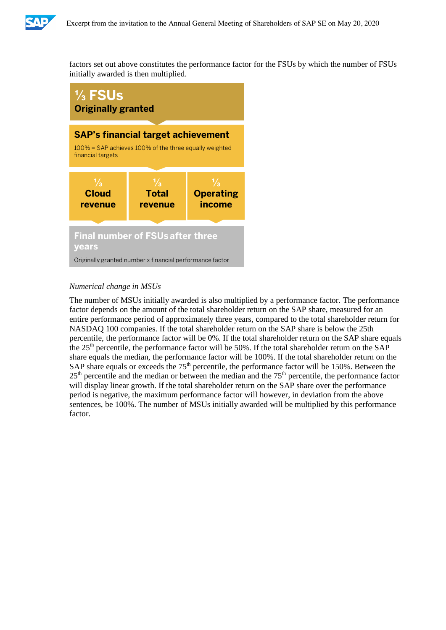

factors set out above constitutes the performance factor for the FSUs by which the number of FSUs initially awarded is then multiplied.



# *Numerical change in MSUs*

The number of MSUs initially awarded is also multiplied by a performance factor. The performance factor depends on the amount of the total shareholder return on the SAP share, measured for an entire performance period of approximately three years, compared to the total shareholder return for NASDAQ 100 companies. If the total shareholder return on the SAP share is below the 25th percentile, the performance factor will be 0%. If the total shareholder return on the SAP share equals the 25<sup>th</sup> percentile, the performance factor will be 50%. If the total shareholder return on the SAP share equals the median, the performance factor will be 100%. If the total shareholder return on the SAP share equals or exceeds the  $75<sup>th</sup>$  percentile, the performance factor will be 150%. Between the  $25<sup>th</sup>$  percentile and the median or between the median and the  $75<sup>th</sup>$  percentile, the performance factor will display linear growth. If the total shareholder return on the SAP share over the performance period is negative, the maximum performance factor will however, in deviation from the above sentences, be 100%. The number of MSUs initially awarded will be multiplied by this performance factor.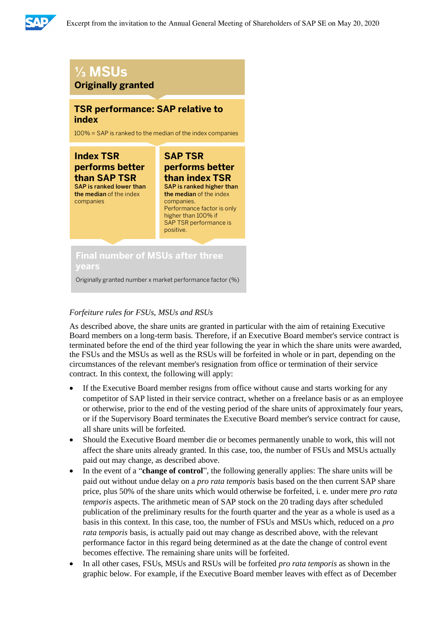

# **⅓ MSUs Originally granted**

# **TSR performance: SAP relative to index**

100% = SAP is ranked to the median of the index companies

**Index TSR performs better than SAP TSR** SAP is ranked lower than

the median of the index companies

**performs better than index TSR** SAP is ranked higher than the median of the index companies. Performance factor is only higher than 100% if SAP TSR performance is positive.

**SAP TSR**

# **Final number of MSUs after three years**

Originally granted number x market performance factor (%)

# *Forfeiture rules for FSUs, MSUs and RSUs*

As described above, the share units are granted in particular with the aim of retaining Executive Board members on a long-term basis. Therefore, if an Executive Board member's service contract is terminated before the end of the third year following the year in which the share units were awarded, the FSUs and the MSUs as well as the RSUs will be forfeited in whole or in part, depending on the circumstances of the relevant member's resignation from office or termination of their service contract. In this context, the following will apply:

- If the Executive Board member resigns from office without cause and starts working for any competitor of SAP listed in their service contract, whether on a freelance basis or as an employee or otherwise, prior to the end of the vesting period of the share units of approximately four years, or if the Supervisory Board terminates the Executive Board member's service contract for cause, all share units will be forfeited.
- Should the Executive Board member die or becomes permanently unable to work, this will not affect the share units already granted. In this case, too, the number of FSUs and MSUs actually paid out may change, as described above.
- In the event of a "**change of control**", the following generally applies: The share units will be paid out without undue delay on a *pro rata temporis* basis based on the then current SAP share price, plus 50% of the share units which would otherwise be forfeited, i. e. under mere *pro rata temporis* aspects. The arithmetic mean of SAP stock on the 20 trading days after scheduled publication of the preliminary results for the fourth quarter and the year as a whole is used as a basis in this context. In this case, too, the number of FSUs and MSUs which, reduced on a *pro rata temporis* basis, is actually paid out may change as described above, with the relevant performance factor in this regard being determined as at the date the change of control event becomes effective. The remaining share units will be forfeited.
- In all other cases, FSUs, MSUs and RSUs will be forfeited *pro rata temporis* as shown in the graphic below. For example, if the Executive Board member leaves with effect as of December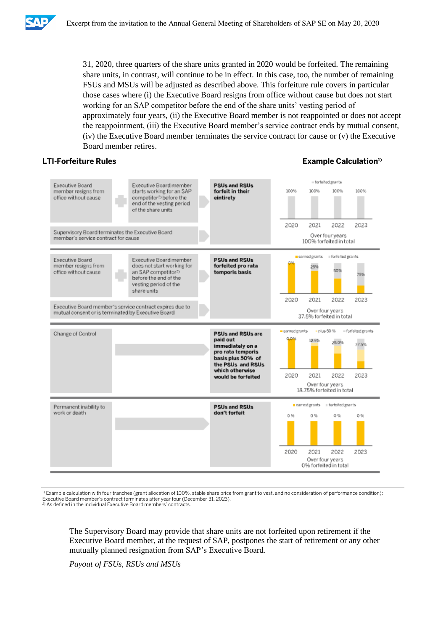

31, 2020, three quarters of the share units granted in 2020 would be forfeited. The remaining share units, in contrast, will continue to be in effect. In this case, too, the number of remaining FSUs and MSUs will be adjusted as described above. This forfeiture rule covers in particular those cases where (i) the Executive Board resigns from office without cause but does not start working for an SAP competitor before the end of the share units' vesting period of approximately four years, (ii) the Executive Board member is not reappointed or does not accept the reappointment, (iii) the Executive Board member's service contract ends by mutual consent, (iv) the Executive Board member terminates the service contract for cause or (v) the Executive Board member retires.

# **LTI-Forfeiture Rules Example Calculation1)**



1) Example calculation with four tranches (grant allocation of 100%, stable share price from grant to vest, and no consideration of performance condition); Executive Board member's contract terminates after year four (December 31, 2023).

2) As defined in the individual Executive Board members' contracts.

The Supervisory Board may provide that share units are not forfeited upon retirement if the Executive Board member, at the request of SAP, postpones the start of retirement or any other mutually planned resignation from SAP's Executive Board.

*Payout of FSUs, RSUs and MSUs*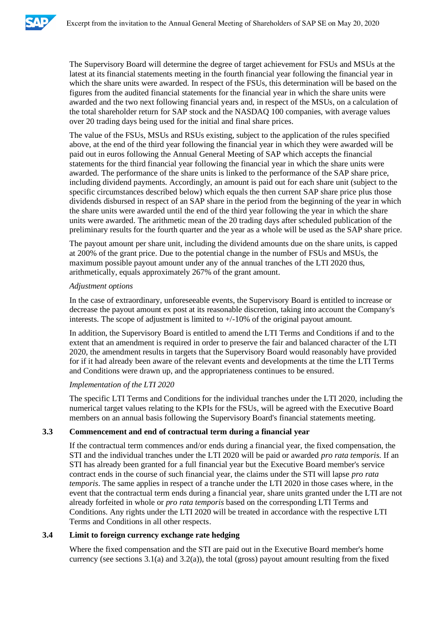

The Supervisory Board will determine the degree of target achievement for FSUs and MSUs at the latest at its financial statements meeting in the fourth financial year following the financial year in which the share units were awarded. In respect of the FSUs, this determination will be based on the figures from the audited financial statements for the financial year in which the share units were awarded and the two next following financial years and, in respect of the MSUs, on a calculation of the total shareholder return for SAP stock and the NASDAQ 100 companies, with average values over 20 trading days being used for the initial and final share prices.

The value of the FSUs, MSUs and RSUs existing, subject to the application of the rules specified above, at the end of the third year following the financial year in which they were awarded will be paid out in euros following the Annual General Meeting of SAP which accepts the financial statements for the third financial year following the financial year in which the share units were awarded. The performance of the share units is linked to the performance of the SAP share price, including dividend payments. Accordingly, an amount is paid out for each share unit (subject to the specific circumstances described below) which equals the then current SAP share price plus those dividends disbursed in respect of an SAP share in the period from the beginning of the year in which the share units were awarded until the end of the third year following the year in which the share units were awarded. The arithmetic mean of the 20 trading days after scheduled publication of the preliminary results for the fourth quarter and the year as a whole will be used as the SAP share price.

The payout amount per share unit, including the dividend amounts due on the share units, is capped at 200% of the grant price. Due to the potential change in the number of FSUs and MSUs, the maximum possible payout amount under any of the annual tranches of the LTI 2020 thus, arithmetically, equals approximately 267% of the grant amount.

# *Adjustment options*

In the case of extraordinary, unforeseeable events, the Supervisory Board is entitled to increase or decrease the payout amount ex post at its reasonable discretion, taking into account the Company's interests. The scope of adjustment is limited to  $+/-10\%$  of the original payout amount.

In addition, the Supervisory Board is entitled to amend the LTI Terms and Conditions if and to the extent that an amendment is required in order to preserve the fair and balanced character of the LTI 2020, the amendment results in targets that the Supervisory Board would reasonably have provided for if it had already been aware of the relevant events and developments at the time the LTI Terms and Conditions were drawn up, and the appropriateness continues to be ensured.

#### *Implementation of the LTI 2020*

The specific LTI Terms and Conditions for the individual tranches under the LTI 2020, including the numerical target values relating to the KPIs for the FSUs, will be agreed with the Executive Board members on an annual basis following the Supervisory Board's financial statements meeting.

# **3.3 Commencement and end of contractual term during a financial year**

If the contractual term commences and/or ends during a financial year, the fixed compensation, the STI and the individual tranches under the LTI 2020 will be paid or awarded *pro rata temporis*. If an STI has already been granted for a full financial year but the Executive Board member's service contract ends in the course of such financial year, the claims under the STI will lapse *pro rata temporis*. The same applies in respect of a tranche under the LTI 2020 in those cases where, in the event that the contractual term ends during a financial year, share units granted under the LTI are not already forfeited in whole or *pro rata temporis* based on the corresponding LTI Terms and Conditions. Any rights under the LTI 2020 will be treated in accordance with the respective LTI Terms and Conditions in all other respects.

# **3.4 Limit to foreign currency exchange rate hedging**

Where the fixed compensation and the STI are paid out in the Executive Board member's home currency (see sections  $3.1(a)$  and  $3.2(a)$ ), the total (gross) payout amount resulting from the fixed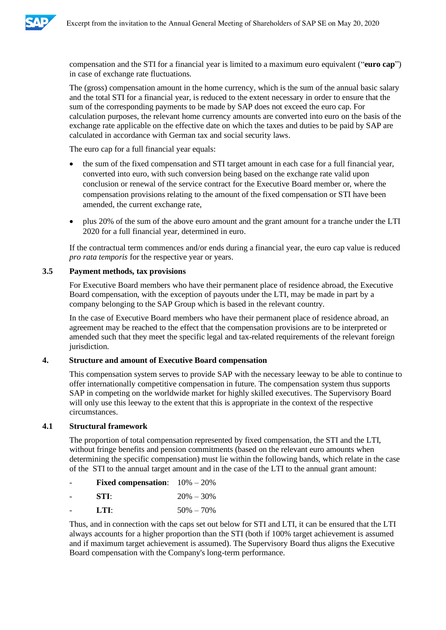

compensation and the STI for a financial year is limited to a maximum euro equivalent ("**euro cap**") in case of exchange rate fluctuations.

The (gross) compensation amount in the home currency, which is the sum of the annual basic salary and the total STI for a financial year, is reduced to the extent necessary in order to ensure that the sum of the corresponding payments to be made by SAP does not exceed the euro cap. For calculation purposes, the relevant home currency amounts are converted into euro on the basis of the exchange rate applicable on the effective date on which the taxes and duties to be paid by SAP are calculated in accordance with German tax and social security laws.

The euro cap for a full financial year equals:

- the sum of the fixed compensation and STI target amount in each case for a full financial year, converted into euro, with such conversion being based on the exchange rate valid upon conclusion or renewal of the service contract for the Executive Board member or, where the compensation provisions relating to the amount of the fixed compensation or STI have been amended, the current exchange rate,
- plus 20% of the sum of the above euro amount and the grant amount for a tranche under the LTI 2020 for a full financial year, determined in euro.

If the contractual term commences and/or ends during a financial year, the euro cap value is reduced *pro rata temporis* for the respective year or years.

# **3.5 Payment methods, tax provisions**

For Executive Board members who have their permanent place of residence abroad, the Executive Board compensation, with the exception of payouts under the LTI, may be made in part by a company belonging to the SAP Group which is based in the relevant country.

In the case of Executive Board members who have their permanent place of residence abroad, an agreement may be reached to the effect that the compensation provisions are to be interpreted or amended such that they meet the specific legal and tax-related requirements of the relevant foreign jurisdiction.

# **4. Structure and amount of Executive Board compensation**

This compensation system serves to provide SAP with the necessary leeway to be able to continue to offer internationally competitive compensation in future. The compensation system thus supports SAP in competing on the worldwide market for highly skilled executives. The Supervisory Board will only use this leeway to the extent that this is appropriate in the context of the respective circumstances.

#### **4.1 Structural framework**

The proportion of total compensation represented by fixed compensation, the STI and the LTI, without fringe benefits and pension commitments (based on the relevant euro amounts when determining the specific compensation) must lie within the following bands, which relate in the case of the STI to the annual target amount and in the case of the LTI to the annual grant amount:

| - | <b>Fixed compensation:</b> $10\% - 20\%$ |               |
|---|------------------------------------------|---------------|
| ۰ | STI:                                     | $20\% - 30\%$ |

**LTI:**  $50\% - 70\%$ 

Thus, and in connection with the caps set out below for STI and LTI, it can be ensured that the LTI always accounts for a higher proportion than the STI (both if 100% target achievement is assumed and if maximum target achievement is assumed). The Supervisory Board thus aligns the Executive Board compensation with the Company's long-term performance.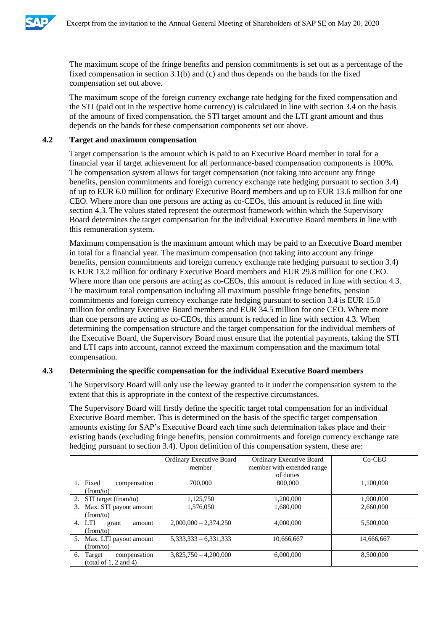

The maximum scope of the fringe benefits and pension commitments is set out as a percentage of the fixed compensation in section 3.1(b) and (c) and thus depends on the bands for the fixed compensation set out above.

The maximum scope of the foreign currency exchange rate hedging for the fixed compensation and the STI (paid out in the respective home currency) is calculated in line with section 3.4 on the basis of the amount of fixed compensation, the STI target amount and the LTI grant amount and thus depends on the bands for these compensation components set out above.

# **4.2 Target and maximum compensation**

Target compensation is the amount which is paid to an Executive Board member in total for a financial year if target achievement for all performance-based compensation components is 100%. The compensation system allows for target compensation (not taking into account any fringe benefits, pension commitments and foreign currency exchange rate hedging pursuant to section 3.4) of up to EUR 6.0 million for ordinary Executive Board members and up to EUR 13.6 million for one CEO. Where more than one persons are acting as co-CEOs, this amount is reduced in line with section 4.3. The values stated represent the outermost framework within which the Supervisory Board determines the target compensation for the individual Executive Board members in line with this remuneration system.

Maximum compensation is the maximum amount which may be paid to an Executive Board member in total for a financial year. The maximum compensation (not taking into account any fringe benefits, pension commitments and foreign currency exchange rate hedging pursuant to section 3.4) is EUR 13.2 million for ordinary Executive Board members and EUR 29.8 million for one CEO. Where more than one persons are acting as co-CEOs, this amount is reduced in line with section 4.3. The maximum total compensation including all maximum possible fringe benefits, pension commitments and foreign currency exchange rate hedging pursuant to section 3.4 is EUR 15.0 million for ordinary Executive Board members and EUR 34.5 million for one CEO. Where more than one persons are acting as co-CEOs, this amount is reduced in line with section 4.3. When determining the compensation structure and the target compensation for the individual members of the Executive Board, the Supervisory Board must ensure that the potential payments, taking the STI and LTI caps into account, cannot exceed the maximum compensation and the maximum total compensation.

#### **4.3 Determining the specific compensation for the individual Executive Board members**

The Supervisory Board will only use the leeway granted to it under the compensation system to the extent that this is appropriate in the context of the respective circumstances.

The Supervisory Board will firstly define the specific target total compensation for an individual Executive Board member. This is determined on the basis of the specific target compensation amounts existing for SAP's Executive Board each time such determination takes place and their existing bands (excluding fringe benefits, pension commitments and foreign currency exchange rate hedging pursuant to section 3.4). Upon definition of this compensation system, these are:

|                                                            | Ordinary Executive Board<br>member | Ordinary Executive Board<br>member with extended range | $Co-CEO$   |
|------------------------------------------------------------|------------------------------------|--------------------------------------------------------|------------|
|                                                            |                                    | of duties                                              |            |
| Fixed<br>compensation                                      | 700,000                            | 800,000                                                | 1,100,000  |
| (from/to)                                                  |                                    |                                                        |            |
| 2.<br>STI target (from/to)                                 | 1,125,750                          | 1,200,000                                              | 1,900,000  |
| 3.<br>Max. STI payout amount                               | 1,576,050                          | 1,680,000                                              | 2,660,000  |
| (from/to)                                                  |                                    |                                                        |            |
| LTI<br>4.<br>grant<br>amount<br>(from/to)                  | $2,000,000 - 2,374,250$            | 4,000,000                                              | 5,500,000  |
| 5. Max. LTI payout amount                                  | $5,333,333 - 6,331,333$            | 10.666.667                                             | 14,666,667 |
| (from/to)                                                  |                                    |                                                        |            |
| compensation<br>Target<br>6.<br>(total of $1, 2$ and $4$ ) | $3,825,750 - 4,200,000$            | 6,000,000                                              | 8,500,000  |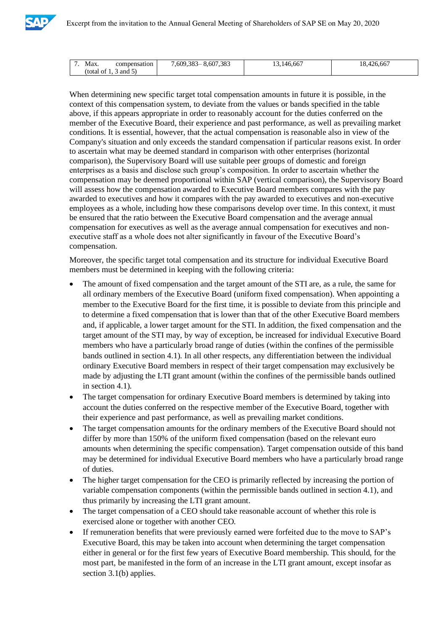

| Max.<br>compensation   | 5.607<br>7,383<br>:609,383 | --<br>46.667<br>⊟ ⊿ r | $\sim$ $\sim$ $\sim$<br>426,667<br>$ -$ |
|------------------------|----------------------------|-----------------------|-----------------------------------------|
| total)<br>and 5)<br>Οİ |                            |                       |                                         |

When determining new specific target total compensation amounts in future it is possible, in the context of this compensation system, to deviate from the values or bands specified in the table above, if this appears appropriate in order to reasonably account for the duties conferred on the member of the Executive Board, their experience and past performance, as well as prevailing market conditions. It is essential, however, that the actual compensation is reasonable also in view of the Company's situation and only exceeds the standard compensation if particular reasons exist. In order to ascertain what may be deemed standard in comparison with other enterprises (horizontal comparison), the Supervisory Board will use suitable peer groups of domestic and foreign enterprises as a basis and disclose such group's composition. In order to ascertain whether the compensation may be deemed proportional within SAP (vertical comparison), the Supervisory Board will assess how the compensation awarded to Executive Board members compares with the pay awarded to executives and how it compares with the pay awarded to executives and non-executive employees as a whole, including how these comparisons develop over time. In this context, it must be ensured that the ratio between the Executive Board compensation and the average annual compensation for executives as well as the average annual compensation for executives and nonexecutive staff as a whole does not alter significantly in favour of the Executive Board's compensation.

Moreover, the specific target total compensation and its structure for individual Executive Board members must be determined in keeping with the following criteria:

- The amount of fixed compensation and the target amount of the STI are, as a rule, the same for all ordinary members of the Executive Board (uniform fixed compensation). When appointing a member to the Executive Board for the first time, it is possible to deviate from this principle and to determine a fixed compensation that is lower than that of the other Executive Board members and, if applicable, a lower target amount for the STI. In addition, the fixed compensation and the target amount of the STI may, by way of exception, be increased for individual Executive Board members who have a particularly broad range of duties (within the confines of the permissible bands outlined in section 4.1). In all other respects, any differentiation between the individual ordinary Executive Board members in respect of their target compensation may exclusively be made by adjusting the LTI grant amount (within the confines of the permissible bands outlined in section 4.1).
- The target compensation for ordinary Executive Board members is determined by taking into account the duties conferred on the respective member of the Executive Board, together with their experience and past performance, as well as prevailing market conditions.
- The target compensation amounts for the ordinary members of the Executive Board should not differ by more than 150% of the uniform fixed compensation (based on the relevant euro amounts when determining the specific compensation). Target compensation outside of this band may be determined for individual Executive Board members who have a particularly broad range of duties.
- The higher target compensation for the CEO is primarily reflected by increasing the portion of variable compensation components (within the permissible bands outlined in section 4.1), and thus primarily by increasing the LTI grant amount.
- The target compensation of a CEO should take reasonable account of whether this role is exercised alone or together with another CEO.
- If remuneration benefits that were previously earned were forfeited due to the move to SAP's Executive Board, this may be taken into account when determining the target compensation either in general or for the first few years of Executive Board membership. This should, for the most part, be manifested in the form of an increase in the LTI grant amount, except insofar as section 3.1(b) applies.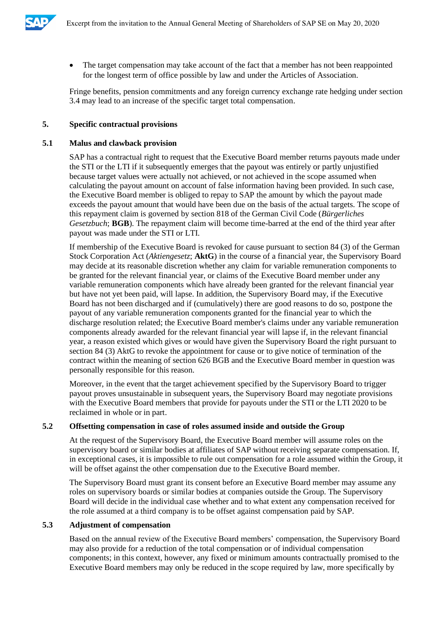

• The target compensation may take account of the fact that a member has not been reappointed for the longest term of office possible by law and under the Articles of Association.

Fringe benefits, pension commitments and any foreign currency exchange rate hedging under section 3.4 may lead to an increase of the specific target total compensation.

# **5. Specific contractual provisions**

# **5.1 Malus and clawback provision**

SAP has a contractual right to request that the Executive Board member returns payouts made under the STI or the LTI if it subsequently emerges that the payout was entirely or partly unjustified because target values were actually not achieved, or not achieved in the scope assumed when calculating the payout amount on account of false information having been provided. In such case, the Executive Board member is obliged to repay to SAP the amount by which the payout made exceeds the payout amount that would have been due on the basis of the actual targets. The scope of this repayment claim is governed by section 818 of the German Civil Code (*Bürgerliches Gesetzbuch*; **BGB**). The repayment claim will become time-barred at the end of the third year after payout was made under the STI or LTI.

If membership of the Executive Board is revoked for cause pursuant to section 84 (3) of the German Stock Corporation Act (*Aktiengesetz*; **AktG**) in the course of a financial year, the Supervisory Board may decide at its reasonable discretion whether any claim for variable remuneration components to be granted for the relevant financial year, or claims of the Executive Board member under any variable remuneration components which have already been granted for the relevant financial year but have not yet been paid, will lapse. In addition, the Supervisory Board may, if the Executive Board has not been discharged and if (cumulatively) there are good reasons to do so, postpone the payout of any variable remuneration components granted for the financial year to which the discharge resolution related; the Executive Board member's claims under any variable remuneration components already awarded for the relevant financial year will lapse if, in the relevant financial year, a reason existed which gives or would have given the Supervisory Board the right pursuant to section 84 (3) AktG to revoke the appointment for cause or to give notice of termination of the contract within the meaning of section 626 BGB and the Executive Board member in question was personally responsible for this reason.

Moreover, in the event that the target achievement specified by the Supervisory Board to trigger payout proves unsustainable in subsequent years, the Supervisory Board may negotiate provisions with the Executive Board members that provide for payouts under the STI or the LTI 2020 to be reclaimed in whole or in part.

#### **5.2 Offsetting compensation in case of roles assumed inside and outside the Group**

At the request of the Supervisory Board, the Executive Board member will assume roles on the supervisory board or similar bodies at affiliates of SAP without receiving separate compensation. If, in exceptional cases, it is impossible to rule out compensation for a role assumed within the Group, it will be offset against the other compensation due to the Executive Board member.

The Supervisory Board must grant its consent before an Executive Board member may assume any roles on supervisory boards or similar bodies at companies outside the Group. The Supervisory Board will decide in the individual case whether and to what extent any compensation received for the role assumed at a third company is to be offset against compensation paid by SAP.

# **5.3 Adjustment of compensation**

Based on the annual review of the Executive Board members' compensation, the Supervisory Board may also provide for a reduction of the total compensation or of individual compensation components; in this context, however, any fixed or minimum amounts contractually promised to the Executive Board members may only be reduced in the scope required by law, more specifically by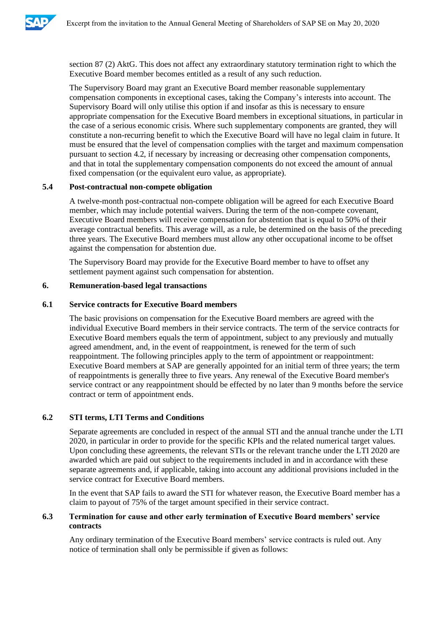

section 87 (2) AktG. This does not affect any extraordinary statutory termination right to which the Executive Board member becomes entitled as a result of any such reduction.

The Supervisory Board may grant an Executive Board member reasonable supplementary compensation components in exceptional cases, taking the Company's interests into account. The Supervisory Board will only utilise this option if and insofar as this is necessary to ensure appropriate compensation for the Executive Board members in exceptional situations, in particular in the case of a serious economic crisis. Where such supplementary components are granted, they will constitute a non-recurring benefit to which the Executive Board will have no legal claim in future. It must be ensured that the level of compensation complies with the target and maximum compensation pursuant to section 4.2, if necessary by increasing or decreasing other compensation components, and that in total the supplementary compensation components do not exceed the amount of annual fixed compensation (or the equivalent euro value, as appropriate).

# **5.4 Post-contractual non-compete obligation**

A twelve-month post-contractual non-compete obligation will be agreed for each Executive Board member, which may include potential waivers. During the term of the non-compete covenant, Executive Board members will receive compensation for abstention that is equal to 50% of their average contractual benefits. This average will, as a rule, be determined on the basis of the preceding three years. The Executive Board members must allow any other occupational income to be offset against the compensation for abstention due.

The Supervisory Board may provide for the Executive Board member to have to offset any settlement payment against such compensation for abstention.

#### **6. Remuneration-based legal transactions**

# **6.1 Service contracts for Executive Board members**

The basic provisions on compensation for the Executive Board members are agreed with the individual Executive Board members in their service contracts. The term of the service contracts for Executive Board members equals the term of appointment, subject to any previously and mutually agreed amendment, and, in the event of reappointment, is renewed for the term of such reappointment. The following principles apply to the term of appointment or reappointment: Executive Board members at SAP are generally appointed for an initial term of three years; the term of reappointments is generally three to five years. Any renewal of the Executive Board member's service contract or any reappointment should be effected by no later than 9 months before the service contract or term of appointment ends.

# **6.2 STI terms, LTI Terms and Conditions**

Separate agreements are concluded in respect of the annual STI and the annual tranche under the LTI 2020, in particular in order to provide for the specific KPIs and the related numerical target values. Upon concluding these agreements, the relevant STIs or the relevant tranche under the LTI 2020 are awarded which are paid out subject to the requirements included in and in accordance with these separate agreements and, if applicable, taking into account any additional provisions included in the service contract for Executive Board members.

In the event that SAP fails to award the STI for whatever reason, the Executive Board member has a claim to payout of 75% of the target amount specified in their service contract.

# **6.3 Termination for cause and other early termination of Executive Board members' service contracts**

Any ordinary termination of the Executive Board members' service contracts is ruled out. Any notice of termination shall only be permissible if given as follows: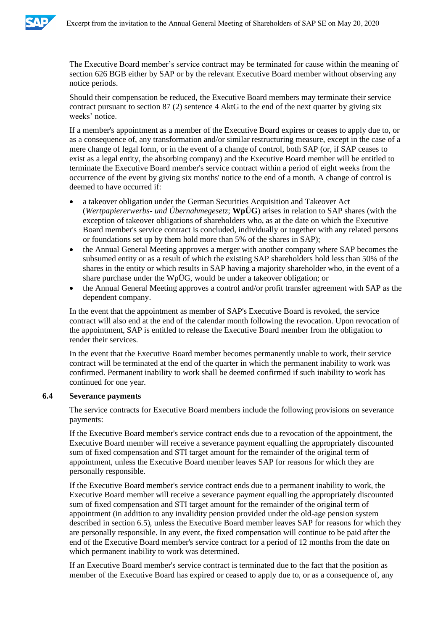

The Executive Board member's service contract may be terminated for cause within the meaning of section 626 BGB either by SAP or by the relevant Executive Board member without observing any notice periods.

Should their compensation be reduced, the Executive Board members may terminate their service contract pursuant to section 87 (2) sentence 4 AktG to the end of the next quarter by giving six weeks' notice.

If a member's appointment as a member of the Executive Board expires or ceases to apply due to, or as a consequence of, any transformation and/or similar restructuring measure, except in the case of a mere change of legal form, or in the event of a change of control, both SAP (or, if SAP ceases to exist as a legal entity, the absorbing company) and the Executive Board member will be entitled to terminate the Executive Board member's service contract within a period of eight weeks from the occurrence of the event by giving six months' notice to the end of a month. A change of control is deemed to have occurred if:

- a takeover obligation under the German Securities Acquisition and Takeover Act (*Wertpapiererwerbs- und Übernahmegesetz*; **WpÜG**) arises in relation to SAP shares (with the exception of takeover obligations of shareholders who, as at the date on which the Executive Board member's service contract is concluded, individually or together with any related persons or foundations set up by them hold more than 5% of the shares in SAP);
- the Annual General Meeting approves a merger with another company where SAP becomes the subsumed entity or as a result of which the existing SAP shareholders hold less than 50% of the shares in the entity or which results in SAP having a majority shareholder who, in the event of a share purchase under the WpÜG, would be under a takeover obligation; or
- the Annual General Meeting approves a control and/or profit transfer agreement with SAP as the dependent company.

In the event that the appointment as member of SAP's Executive Board is revoked, the service contract will also end at the end of the calendar month following the revocation. Upon revocation of the appointment, SAP is entitled to release the Executive Board member from the obligation to render their services.

In the event that the Executive Board member becomes permanently unable to work, their service contract will be terminated at the end of the quarter in which the permanent inability to work was confirmed. Permanent inability to work shall be deemed confirmed if such inability to work has continued for one year.

# **6.4 Severance payments**

The service contracts for Executive Board members include the following provisions on severance payments:

If the Executive Board member's service contract ends due to a revocation of the appointment, the Executive Board member will receive a severance payment equalling the appropriately discounted sum of fixed compensation and STI target amount for the remainder of the original term of appointment, unless the Executive Board member leaves SAP for reasons for which they are personally responsible.

If the Executive Board member's service contract ends due to a permanent inability to work, the Executive Board member will receive a severance payment equalling the appropriately discounted sum of fixed compensation and STI target amount for the remainder of the original term of appointment (in addition to any invalidity pension provided under the old-age pension system described in section 6.5), unless the Executive Board member leaves SAP for reasons for which they are personally responsible. In any event, the fixed compensation will continue to be paid after the end of the Executive Board member's service contract for a period of 12 months from the date on which permanent inability to work was determined.

If an Executive Board member's service contract is terminated due to the fact that the position as member of the Executive Board has expired or ceased to apply due to, or as a consequence of, any